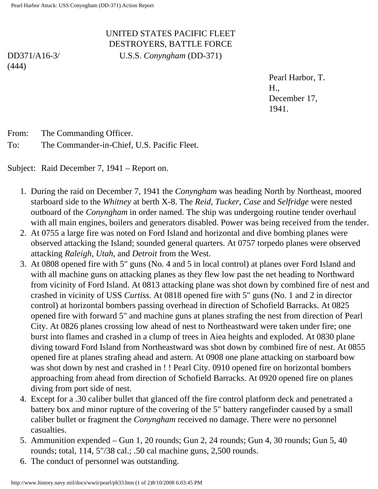## UNITED STATES PACIFIC FLEET DESTROYERS, BATTLE FORCE U.S.S. *Conyngham* (DD-371)

DD371/A16-3/ (444)

> Pearl Harbor, T. H., December 17, 1941.

From: The Commanding Officer.

To: The Commander-in-Chief, U.S. Pacific Fleet.

Subject: Raid December 7, 1941 – Report on.

- 1. During the raid on December 7, 1941 the *Conyngham* was heading North by Northeast, moored starboard side to the *Whitney* at berth X-8. The *Reid, Tucker, Case* and *Selfridge* were nested outboard of the *Conyngham* in order named. The ship was undergoing routine tender overhaul with all main engines, boilers and generators disabled. Power was being received from the tender.
- 2. At 0755 a large fire was noted on Ford Island and horizontal and dive bombing planes were observed attacking the Island; sounded general quarters. At 0757 torpedo planes were observed attacking *Raleigh, Utah,* and *Detroit* from the West.
- 3. At 0808 opened fire with 5" guns (No. 4 and 5 in local control) at planes over Ford Island and with all machine guns on attacking planes as they flew low past the net heading to Northward from vicinity of Ford Island. At 0813 attacking plane was shot down by combined fire of nest and crashed in vicinity of USS *Curtiss.* At 0818 opened fire with 5" guns (No. 1 and 2 in director control) at horizontal bombers passing overhead in direction of Schofield Barracks. At 0825 opened fire with forward 5" and machine guns at planes strafing the nest from direction of Pearl City. At 0826 planes crossing low ahead of nest to Northeastward were taken under fire; one burst into flames and crashed in a clump of trees in Aiea heights and exploded. At 0830 plane diving toward Ford Island from Northeastward was shot down by combined fire of nest. At 0855 opened fire at planes strafing ahead and astern. At 0908 one plane attacking on starboard bow was shot down by nest and crashed in ! ! Pearl City. 0910 opened fire on horizontal bombers approaching from ahead from direction of Schofield Barracks. At 0920 opened fire on planes diving from port side of nest.
- 4. Except for a .30 caliber bullet that glanced off the fire control platform deck and penetrated a battery box and minor rupture of the covering of the 5" battery rangefinder caused by a small caliber bullet or fragment the *Conyngham* received no damage. There were no personnel casualties.
- 5. Ammunition expended Gun 1, 20 rounds; Gun 2, 24 rounds; Gun 4, 30 rounds; Gun 5, 40 rounds; total, 114, 5"/38 cal.; .50 cal machine guns, 2,500 rounds.
- 6. The conduct of personnel was outstanding.